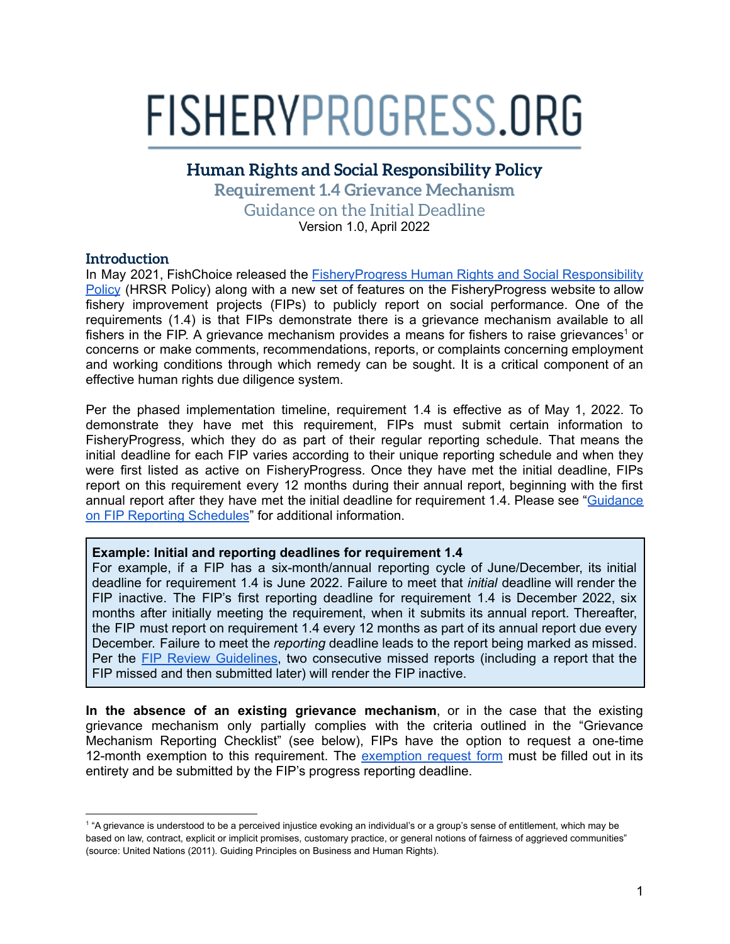# FISHERYPROGRESS.ORG

## **Human Rights and Social Responsibility Policy**

**Requirement 1.4 Grievance Mechanism**

Guidance on the Initial Deadline

Version 1.0, April 2022

## **Introduction**

In May 2021, FishChoice released the **[FisheryProgress](https://fisheryprogress.org/social-responsibility/our-approach) Human Rights and Social Responsibility** [Policy](https://fisheryprogress.org/social-responsibility/our-approach) (HRSR Policy) along with a new set of features on the FisheryProgress website to allow fishery improvement projects (FIPs) to publicly report on social performance. One of the requirements (1.4) is that FIPs demonstrate there is a grievance mechanism available to all fishers in the FIP. A grievance mechanism provides a means for fishers to raise grievances<sup>1</sup> or concerns or make comments, recommendations, reports, or complaints concerning employment and working conditions through which remedy can be sought. It is a critical component of an effective human rights due diligence system.

Per the phased implementation timeline, requirement 1.4 is effective as of May 1, 2022. To demonstrate they have met this requirement, FIPs must submit certain information to FisheryProgress, which they do as part of their regular reporting schedule. That means the initial deadline for each FIP varies according to their unique reporting schedule and when they were first listed as active on FisheryProgress. Once they have met the initial deadline, FIPs report on this requirement every 12 months during their annual report, beginning with the first annual report after they have met the initial deadline for requirement 1.4. Please see "[Guidance](https://fisheryprogress.org/sites/default/files/FP%20Social_Reporting%20Schedule%20Guidance.pdf)" on FIP Reporting [Schedules](https://fisheryprogress.org/sites/default/files/FP%20Social_Reporting%20Schedule%20Guidance.pdf)" for additional information.

## **Example: Initial and reporting deadlines for requirement 1.4**

For example, if a FIP has a six-month/annual reporting cycle of June/December, its initial deadline for requirement 1.4 is June 2022. Failure to meet that *initial* deadline will render the FIP inactive. The FIP's first reporting deadline for requirement 1.4 is December 2022, six months after initially meeting the requirement, when it submits its annual report. Thereafter, the FIP must report on requirement 1.4 every 12 months as part of its annual report due every December. Failure to meet the *reporting* deadline leads to the report being marked as missed. Per the FIP Review [Guidelines,](https://fisheryprogress.org/resources-fips/fip-review-guidelines) two consecutive missed reports (including a report that the FIP missed and then submitted later) will render the FIP inactive.

**In the absence of an existing grievance mechanism**, or in the case that the existing grievance mechanism only partially complies with the criteria outlined in the "Grievance Mechanism Reporting Checklist" (see below), FIPs have the option to request a one-time 12-month [exemption](https://fisheryprogress.org/resources/launching-fip) to this requirement. The exemption request form must be filled out in its entirety and be submitted by the FIP's progress reporting deadline.

<sup>1</sup> "A grievance is understood to be a perceived injustice evoking an individual's or a group's sense of entitlement, which may be based on law, contract, explicit or implicit promises, customary practice, or general notions of fairness of aggrieved communities" (source: United Nations (2011). Guiding Principles on Business and Human Rights).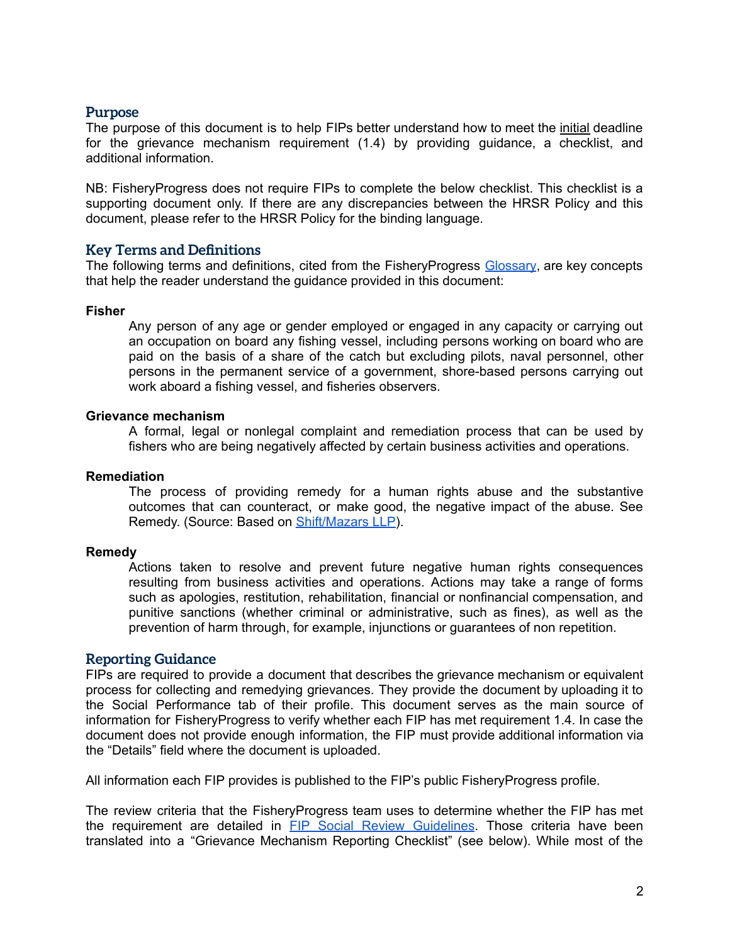## **Purpose**

The purpose of this document is to help FIPs better understand how to meet the initial deadline for the grievance mechanism requirement (1.4) by providing guidance, a checklist, and additional information.

NB: FisheryProgress does not require FIPs to complete the below checklist. This checklist is a supporting document only. If there are any discrepancies between the HRSR Policy and this document, please refer to the HRSR Policy for the binding language.

## **Key Terms and Definitions**

The following terms and definitions, cited from the FisheryProgress [Glossary](https://fisheryprogress.org/resources-buyers/glossary), are key concepts that help the reader understand the guidance provided in this document:

#### **Fisher**

Any person of any age or gender employed or engaged in any capacity or carrying out an occupation on board any fishing vessel, including persons working on board who are paid on the basis of a share of the catch but excluding pilots, naval personnel, other persons in the permanent service of a government, shore-based persons carrying out work aboard a fishing vessel, and fisheries observers.

#### **Grievance mechanism**

A formal, legal or nonlegal complaint and remediation process that can be used by fishers who are being negatively affected by certain business activities and operations.

#### **Remediation**

The process of providing remedy for a human rights abuse and the substantive outcomes that can counteract, or make good, the negative impact of the abuse. See Remedy. (Source: Based on [Shift/Mazars](https://www.ungpreporting.org/glossary/remediationremedy/) LLP).

#### **Remedy**

Actions taken to resolve and prevent future negative human rights consequences resulting from business activities and operations. Actions may take a range of forms such as apologies, restitution, rehabilitation, financial or nonfinancial compensation, and punitive sanctions (whether criminal or administrative, such as fines), as well as the prevention of harm through, for example, injunctions or guarantees of non repetition.

#### **Reporting Guidance**

FIPs are required to provide a document that describes the grievance mechanism or equivalent process for collecting and remedying grievances. They provide the document by uploading it to the Social Performance tab of their profile. This document serves as the main source of information for FisheryProgress to verify whether each FIP has met requirement 1.4. In case the document does not provide enough information, the FIP must provide additional information via the "Details" field where the document is uploaded.

All information each FIP provides is published to the FIP's public FisheryProgress profile.

The review criteria that the FisheryProgress team uses to determine whether the FIP has met the requirement are detailed in FIP Social Review [Guidelines](https://fisheryprogress.org/resources-fips/fip-review-guidelines). Those criteria have been translated into a "Grievance Mechanism Reporting Checklist" (see below). While most of the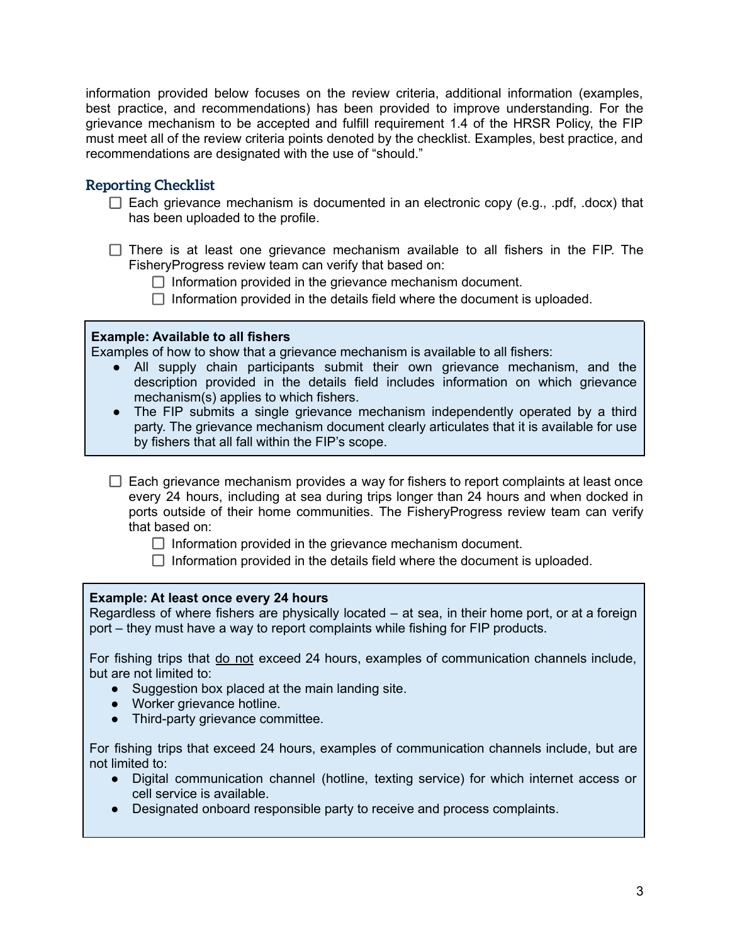information provided below focuses on the review criteria, additional information (examples, best practice, and recommendations) has been provided to improve understanding. For the grievance mechanism to be accepted and fulfill requirement 1.4 of the HRSR Policy, the FIP must meet all of the review criteria points denoted by the checklist. Examples, best practice, and recommendations are designated with the use of "should."

## **Reporting Checklist**

- $\Box$  Each grievance mechanism is documented in an electronic copy (e.g., .pdf, .docx) that has been uploaded to the profile.
- $\Box$  There is at least one grievance mechanism available to all fishers in the FIP. The FisheryProgress review team can verify that based on:
	- $\Box$  Information provided in the grievance mechanism document.
	- $\Box$  Information provided in the details field where the document is uploaded.

#### **Example: Available to all fishers**

Examples of how to show that a grievance mechanism is available to all fishers:

- All supply chain participants submit their own grievance mechanism, and the description provided in the details field includes information on which grievance mechanism(s) applies to which fishers.
- The FIP submits a single grievance mechanism independently operated by a third party. The grievance mechanism document clearly articulates that it is available for use by fishers that all fall within the FIP's scope.
- $\Box$  Each grievance mechanism provides a way for fishers to report complaints at least once every 24 hours, including at sea during trips longer than 24 hours and when docked in ports outside of their home communities. The FisheryProgress review team can verify that based on:
	- $\Box$  Information provided in the grievance mechanism document.
	- $\Box$  Information provided in the details field where the document is uploaded.

#### **Example: At least once every 24 hours**

Regardless of where fishers are physically located – at sea, in their home port, or at a foreign port – they must have a way to report complaints while fishing for FIP products.

For fishing trips that do not exceed 24 hours, examples of communication channels include, but are not limited to:

- Suggestion box placed at the main landing site.
- Worker grievance hotline.
- Third-party grievance committee.

For fishing trips that exceed 24 hours, examples of communication channels include, but are not limited to:

- Digital communication channel (hotline, texting service) for which internet access or cell service is available.
- Designated onboard responsible party to receive and process complaints.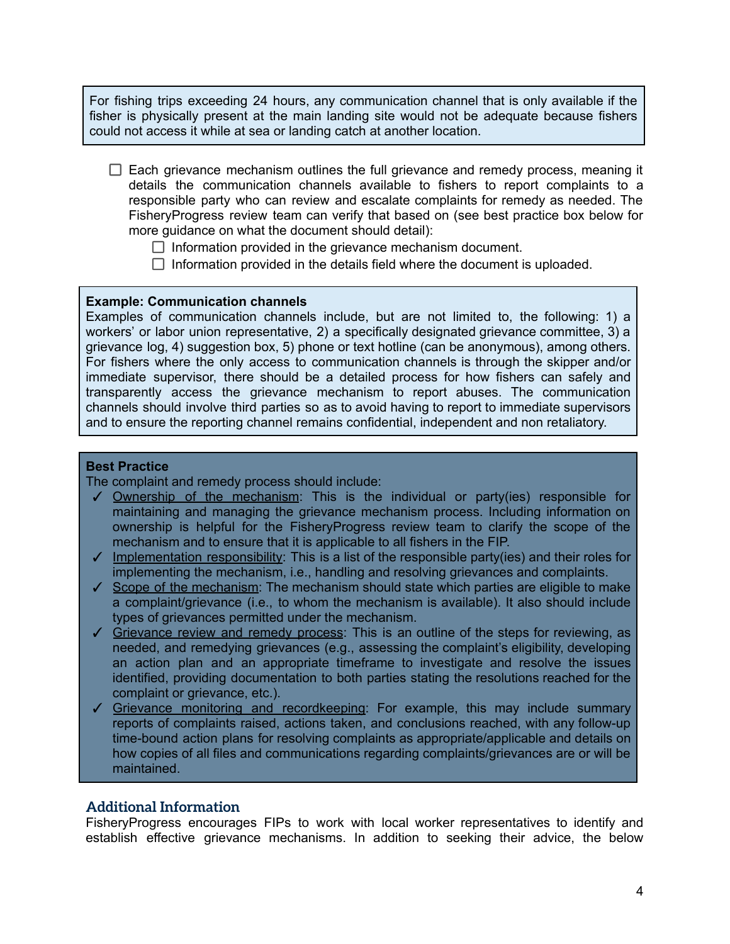For fishing trips exceeding 24 hours, any communication channel that is only available if the fisher is physically present at the main landing site would not be adequate because fishers could not access it while at sea or landing catch at another location.

- $\Box$  Each grievance mechanism outlines the full grievance and remedy process, meaning it details the communication channels available to fishers to report complaints to a responsible party who can review and escalate complaints for remedy as needed. The FisheryProgress review team can verify that based on (see best practice box below for more guidance on what the document should detail):
	- $\Box$  Information provided in the grievance mechanism document.
	- $\Box$  Information provided in the details field where the document is uploaded.

#### **Example: Communication channels**

Examples of communication channels include, but are not limited to, the following: 1) a workers' or labor union representative, 2) a specifically designated grievance committee, 3) a grievance log, 4) suggestion box, 5) phone or text hotline (can be anonymous), among others. For fishers where the only access to communication channels is through the skipper and/or immediate supervisor, there should be a detailed process for how fishers can safely and transparently access the grievance mechanism to report abuses. The communication channels should involve third parties so as to avoid having to report to immediate supervisors and to ensure the reporting channel remains confidential, independent and non retaliatory.

#### **Best Practice**

The complaint and remedy process should include:

- $\checkmark$  Ownership of the mechanism: This is the individual or party(ies) responsible for maintaining and managing the grievance mechanism process. Including information on ownership is helpful for the FisheryProgress review team to clarify the scope of the mechanism and to ensure that it is applicable to all fishers in the FIP.
- ✓ Implementation responsibility: This is a list of the responsible party(ies) and their roles for implementing the mechanism, i.e., handling and resolving grievances and complaints.
- $\checkmark$  Scope of the mechanism: The mechanism should state which parties are eligible to make a complaint/grievance (i.e., to whom the mechanism is available). It also should include types of grievances permitted under the mechanism.
- ✓ Grievance review and remedy process: This is an outline of the steps for reviewing, as needed, and remedying grievances (e.g., assessing the complaint's eligibility, developing an action plan and an appropriate timeframe to investigate and resolve the issues identified, providing documentation to both parties stating the resolutions reached for the complaint or grievance, etc.).
- ✓ Grievance monitoring and recordkeeping: For example, this may include summary reports of complaints raised, actions taken, and conclusions reached, with any follow-up time-bound action plans for resolving complaints as appropriate/applicable and details on how copies of all files and communications regarding complaints/grievances are or will be maintained.

### **Additional Information**

FisheryProgress encourages FIPs to work with local worker representatives to identify and establish effective grievance mechanisms. In addition to seeking their advice, the below